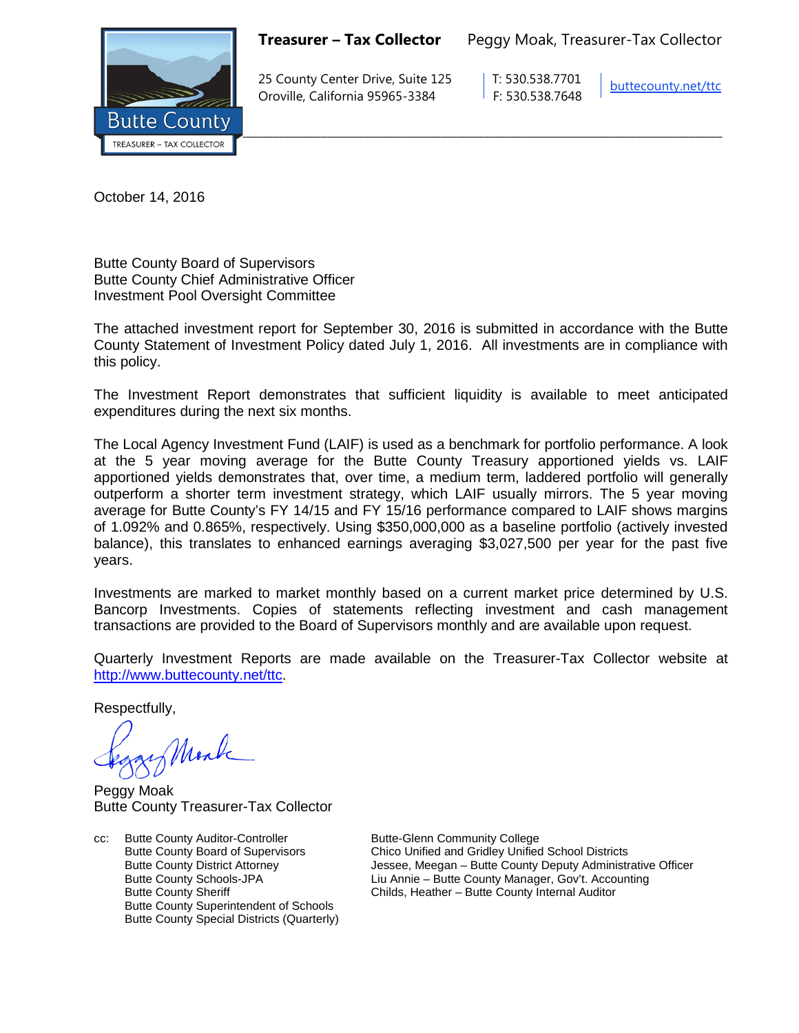

**Treasurer – Tax Collector** Peggy Moak, Treasurer-Tax Collector

25 County Center Drive, Suite 125 T: 530.538.7701 Oroville, California 95965-3384 F: 530.538.7648

[buttecounty.net/t](http://www.buttecounty.net/administration)tc

October 14, 2016

Butte County Board of Supervisors Butte County Chief Administrative Officer Investment Pool Oversight Committee

The attached investment report for September 30, 2016 is submitted in accordance with the Butte County Statement of Investment Policy dated July 1, 2016. All investments are in compliance with this policy.

The Investment Report demonstrates that sufficient liquidity is available to meet anticipated expenditures during the next six months.

The Local Agency Investment Fund (LAIF) is used as a benchmark for portfolio performance. A look at the 5 year moving average for the Butte County Treasury apportioned yields vs. LAIF apportioned yields demonstrates that, over time, a medium term, laddered portfolio will generally outperform a shorter term investment strategy, which LAIF usually mirrors. The 5 year moving average for Butte County's FY 14/15 and FY 15/16 performance compared to LAIF shows margins of 1.092% and 0.865%, respectively. Using \$350,000,000 as a baseline portfolio (actively invested balance), this translates to enhanced earnings averaging \$3,027,500 per year for the past five years.

Investments are marked to market monthly based on a current market price determined by U.S. Bancorp Investments. Copies of statements reflecting investment and cash management transactions are provided to the Board of Supervisors monthly and are available upon request.

Quarterly Investment Reports are made available on the Treasurer-Tax Collector website at <http://www.buttecounty.net/ttc>

Respectfully,

Mark

Peggy Moak Butte County Treasurer-Tax Collector

cc: Butte County Auditor-Controller Butte-Glenn Community College<br>Butte County Board of Supervisors Chico Unified and Gridley Unified Butte County Superintendent of Schools Butte County Special Districts (Quarterly)

Chico Unified and Gridley Unified School Districts Butte County District Attorney Jessee, Meegan – Butte County Deputy Administrative Officer Butte County Schools-JPA<br>
Eiu Annie – Butte County Manager, Gov't. Accounting<br>
Childs, Heather – Butte County Internal Auditor Childs, Heather – Butte County Internal Auditor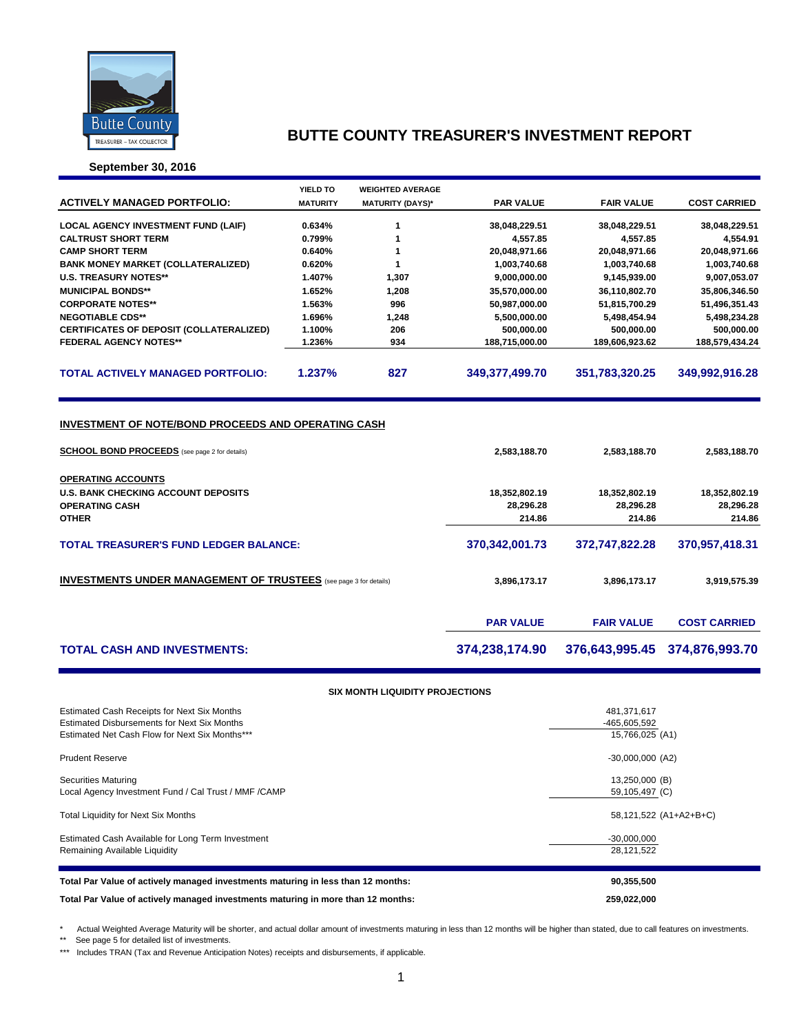

**September 30, 2016**

|                                                                          | YIELD TO         | <b>WEIGHTED AVERAGE</b> |                           |                           |                           |
|--------------------------------------------------------------------------|------------------|-------------------------|---------------------------|---------------------------|---------------------------|
| <b>ACTIVELY MANAGED PORTFOLIO:</b>                                       | <b>MATURITY</b>  | <b>MATURITY (DAYS)*</b> | <b>PAR VALUE</b>          | <b>FAIR VALUE</b>         | <b>COST CARRIED</b>       |
|                                                                          |                  |                         |                           |                           |                           |
| <b>LOCAL AGENCY INVESTMENT FUND (LAIF)</b><br><b>CALTRUST SHORT TERM</b> | 0.634%<br>0.799% | 1<br>1                  | 38,048,229.51<br>4,557.85 | 38,048,229.51<br>4,557.85 | 38,048,229.51<br>4,554.91 |
| <b>CAMP SHORT TERM</b>                                                   | 0.640%           | 1                       | 20,048,971.66             | 20,048,971.66             | 20,048,971.66             |
| <b>BANK MONEY MARKET (COLLATERALIZED)</b>                                | 0.620%           | 1                       | 1,003,740.68              | 1,003,740.68              | 1,003,740.68              |
| <b>U.S. TREASURY NOTES**</b>                                             | 1.407%           | 1,307                   | 9,000,000.00              | 9,145,939.00              | 9,007,053.07              |
| <b>MUNICIPAL BONDS**</b>                                                 | 1.652%           | 1,208                   | 35,570,000.00             | 36,110,802.70             | 35,806,346.50             |
| <b>CORPORATE NOTES**</b>                                                 | 1.563%           | 996                     | 50,987,000.00             | 51,815,700.29             | 51,496,351.43             |
| <b>NEGOTIABLE CDS**</b>                                                  | 1.696%           | 1,248                   | 5,500,000.00              | 5,498,454.94              | 5,498,234.28              |
| CERTIFICATES OF DEPOSIT (COLLATERALIZED)                                 | 1.100%           | 206                     | 500,000.00                | 500,000.00                | 500,000.00                |
| <b>FEDERAL AGENCY NOTES**</b>                                            | 1.236%           | 934                     | 188,715,000.00            | 189,606,923.62            | 188,579,434.24            |
|                                                                          |                  |                         |                           |                           |                           |
| <b>TOTAL ACTIVELY MANAGED PORTFOLIO:</b>                                 | 1.237%           | 827                     | 349,377,499.70            | 351,783,320.25            | 349,992,916.28            |
|                                                                          |                  |                         |                           |                           |                           |
|                                                                          |                  |                         |                           |                           |                           |
|                                                                          |                  |                         |                           |                           |                           |
| <b>INVESTMENT OF NOTE/BOND PROCEEDS AND OPERATING CASH</b>               |                  |                         |                           |                           |                           |
|                                                                          |                  |                         |                           |                           |                           |
| <b>SCHOOL BOND PROCEEDS</b> (see page 2 for details)                     |                  |                         | 2,583,188.70              | 2,583,188.70              | 2,583,188.70              |
|                                                                          |                  |                         |                           |                           |                           |
| <b>OPERATING ACCOUNTS</b>                                                |                  |                         |                           |                           |                           |
| <b>U.S. BANK CHECKING ACCOUNT DEPOSITS</b>                               |                  |                         | 18,352,802.19             | 18,352,802.19             | 18,352,802.19             |
| <b>OPERATING CASH</b>                                                    |                  |                         | 28,296.28                 | 28,296.28                 | 28,296.28                 |
| <b>OTHER</b>                                                             |                  |                         | 214.86                    | 214.86                    | 214.86                    |
|                                                                          |                  |                         |                           |                           |                           |
| <b>TOTAL TREASURER'S FUND LEDGER BALANCE:</b>                            |                  |                         | 370,342,001.73            | 372,747,822.28            | 370,957,418.31            |
|                                                                          |                  |                         |                           |                           |                           |
| <b>INVESTMENTS UNDER MANAGEMENT OF TRUSTEES</b> (see page 3 for details) |                  |                         | 3,896,173.17              | 3,896,173.17              | 3,919,575.39              |
|                                                                          |                  |                         |                           |                           |                           |
|                                                                          |                  |                         |                           |                           |                           |
|                                                                          |                  |                         | <b>PAR VALUE</b>          | <b>FAIR VALUE</b>         | <b>COST CARRIED</b>       |
|                                                                          |                  |                         |                           |                           |                           |
| <b>TOTAL CASH AND INVESTMENTS:</b>                                       |                  |                         | 374,238,174.90            | 376,643,995.45            | 374,876,993.70            |
|                                                                          |                  |                         |                           |                           |                           |
|                                                                          |                  |                         |                           |                           |                           |
|                                                                          |                  |                         |                           |                           |                           |

#### **SIX MONTH LIQUIDITY PROJECTIONS**

| Estimated Cash Available for Long Term Investment     | $-30,000,000$          |
|-------------------------------------------------------|------------------------|
| Remaining Available Liquidity                         | 28,121,522             |
| <b>Total Liquidity for Next Six Months</b>            | 58,121,522 (A1+A2+B+C) |
| Securities Maturing                                   | 13,250,000 (B)         |
| Local Agency Investment Fund / Cal Trust / MMF / CAMP | 59,105,497 (C)         |
| <b>Prudent Reserve</b>                                | $-30,000,000$ (A2)     |
| <b>Estimated Disbursements for Next Six Months</b>    | -465,605,592           |
| Estimated Net Cash Flow for Next Six Months***        | 15,766,025 (A1)        |
| Estimated Cash Receipts for Next Six Months           | 481,371,617            |

\* Actual Weighted Average Maturity will be shorter, and actual dollar amount of investments maturing in less than 12 months will be higher than stated, due to call features on investments.

\*\* See page 5 for detailed list of investments.

\*\*\* Includes TRAN (Tax and Revenue Anticipation Notes) receipts and disbursements, if applicable.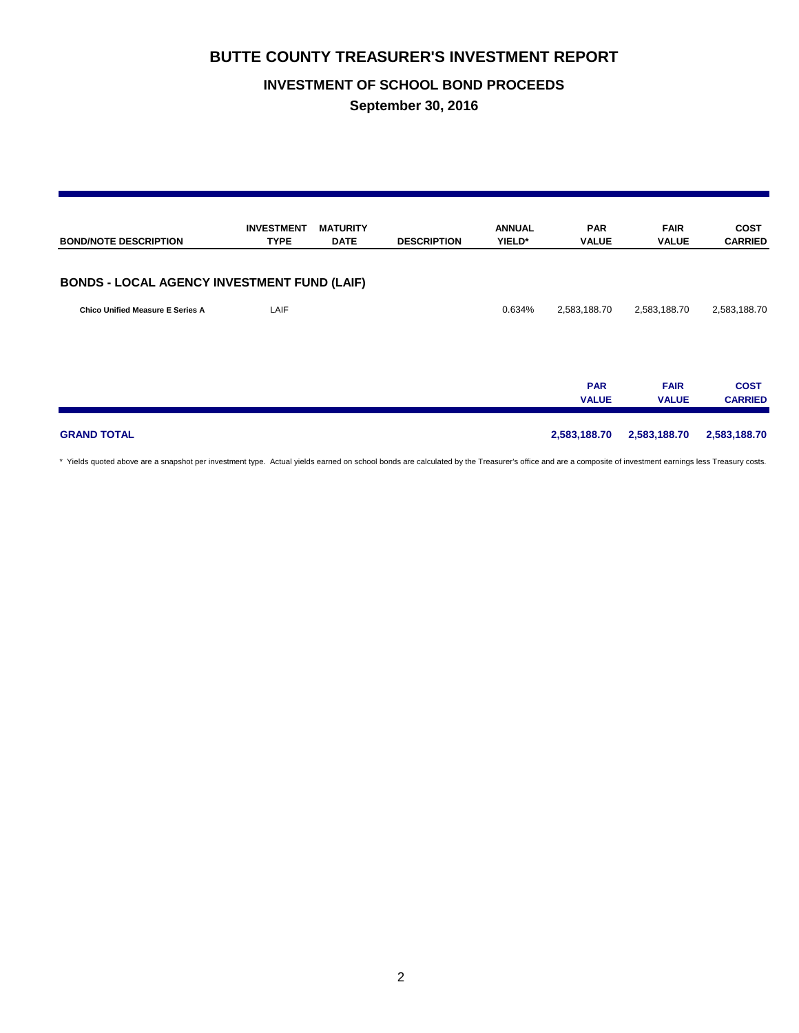## **INVESTMENT OF SCHOOL BOND PROCEEDS**

**September 30, 2016**

| <b>BOND/NOTE DESCRIPTION</b>                       | <b>INVESTMENT</b><br><b>TYPE</b> | <b>MATURITY</b><br><b>DATE</b> | <b>DESCRIPTION</b> | <b>ANNUAL</b><br>YIELD* | <b>PAR</b><br><b>VALUE</b> | <b>FAIR</b><br><b>VALUE</b> | <b>COST</b><br><b>CARRIED</b> |
|----------------------------------------------------|----------------------------------|--------------------------------|--------------------|-------------------------|----------------------------|-----------------------------|-------------------------------|
| <b>BONDS - LOCAL AGENCY INVESTMENT FUND (LAIF)</b> |                                  |                                |                    |                         |                            |                             |                               |
| <b>Chico Unified Measure E Series A</b>            | LAIF                             |                                |                    | 0.634%                  | 2,583,188.70               | 2,583,188.70                | 2,583,188.70                  |
|                                                    |                                  |                                |                    |                         | <b>PAR</b><br><b>VALUE</b> | <b>FAIR</b><br><b>VALUE</b> | <b>COST</b><br><b>CARRIED</b> |
| <b>GRAND TOTAL</b>                                 |                                  |                                |                    |                         | 2,583,188.70               | 2,583,188.70                | 2,583,188.70                  |

\* Yields quoted above are a snapshot per investment type. Actual yields earned on school bonds are calculated by the Treasurer's office and are a composite of investment earnings less Treasury costs.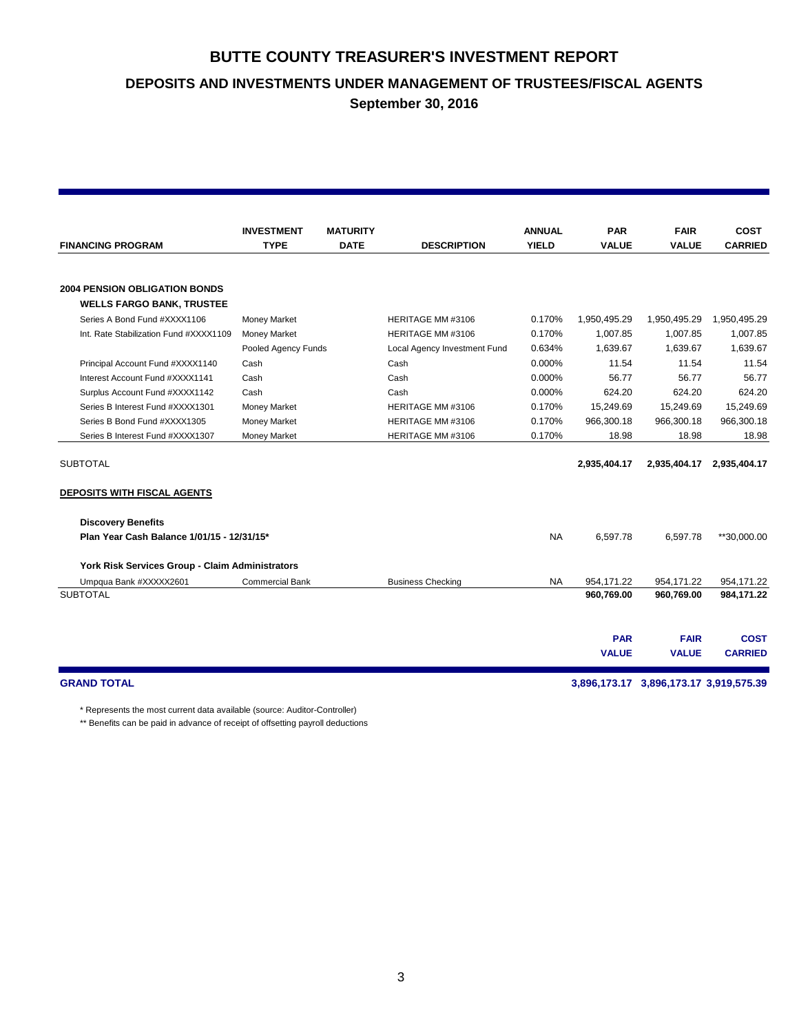**DEPOSITS AND INVESTMENTS UNDER MANAGEMENT OF TRUSTEES/FISCAL AGENTS**

**September 30, 2016**

|                                                                          | <b>INVESTMENT</b>      | <b>MATURITY</b> |                              | <b>ANNUAL</b> | <b>PAR</b>                 | <b>FAIR</b>                            | <b>COST</b>                   |
|--------------------------------------------------------------------------|------------------------|-----------------|------------------------------|---------------|----------------------------|----------------------------------------|-------------------------------|
| <b>FINANCING PROGRAM</b>                                                 | <b>TYPE</b>            | <b>DATE</b>     | <b>DESCRIPTION</b>           | <b>YIELD</b>  | <b>VALUE</b>               | <b>VALUE</b>                           | <b>CARRIED</b>                |
|                                                                          |                        |                 |                              |               |                            |                                        |                               |
| <b>2004 PENSION OBLIGATION BONDS</b><br><b>WELLS FARGO BANK, TRUSTEE</b> |                        |                 |                              |               |                            |                                        |                               |
| Series A Bond Fund #XXXX1106                                             | <b>Money Market</b>    |                 | HERITAGE MM #3106            | 0.170%        | 1,950,495.29               | 1,950,495.29                           | 1,950,495.29                  |
| Int. Rate Stabilization Fund #XXXX1109                                   | <b>Money Market</b>    |                 | HERITAGE MM #3106            | 0.170%        | 1,007.85                   | 1,007.85                               | 1,007.85                      |
|                                                                          | Pooled Agency Funds    |                 | Local Agency Investment Fund | 0.634%        | 1.639.67                   | 1,639.67                               | 1,639.67                      |
| Principal Account Fund #XXXX1140                                         | Cash                   |                 | Cash                         | 0.000%        | 11.54                      | 11.54                                  | 11.54                         |
| Interest Account Fund #XXXX1141                                          | Cash                   |                 | Cash                         | 0.000%        | 56.77                      | 56.77                                  | 56.77                         |
| Surplus Account Fund #XXXX1142                                           | Cash                   |                 | Cash                         | 0.000%        | 624.20                     | 624.20                                 | 624.20                        |
| Series B Interest Fund #XXXX1301                                         | <b>Money Market</b>    |                 | HERITAGE MM #3106            | 0.170%        | 15,249.69                  | 15,249.69                              | 15,249.69                     |
| Series B Bond Fund #XXXX1305                                             | <b>Money Market</b>    |                 | HERITAGE MM #3106            | 0.170%        | 966,300.18                 | 966,300.18                             | 966,300.18                    |
| Series B Interest Fund #XXXX1307                                         | Money Market           |                 | HERITAGE MM #3106            | 0.170%        | 18.98                      | 18.98                                  | 18.98                         |
| <b>SUBTOTAL</b><br>DEPOSITS WITH FISCAL AGENTS                           |                        |                 |                              |               | 2,935,404.17               | 2,935,404.17                           | 2,935,404.17                  |
| <b>Discovery Benefits</b>                                                |                        |                 |                              |               |                            |                                        |                               |
| Plan Year Cash Balance 1/01/15 - 12/31/15*                               |                        |                 |                              | <b>NA</b>     | 6,597.78                   | 6,597.78                               | **30,000.00                   |
| York Risk Services Group - Claim Administrators                          |                        |                 |                              |               |                            |                                        |                               |
| Umpqua Bank #XXXXX2601                                                   | <b>Commercial Bank</b> |                 | <b>Business Checking</b>     | <b>NA</b>     | 954,171.22                 | 954,171.22                             | 954,171.22                    |
| <b>SUBTOTAL</b>                                                          |                        |                 |                              |               | 960,769.00                 | 960,769.00                             | 984,171.22                    |
|                                                                          |                        |                 |                              |               |                            |                                        |                               |
|                                                                          |                        |                 |                              |               | <b>PAR</b><br><b>VALUE</b> | <b>FAIR</b><br><b>VALUE</b>            | <b>COST</b><br><b>CARRIED</b> |
|                                                                          |                        |                 |                              |               |                            |                                        |                               |
| <b>GRAND TOTAL</b>                                                       |                        |                 |                              |               |                            | 3,896,173.17 3,896,173.17 3,919,575.39 |                               |

\* Represents the most current data available (source: Auditor-Controller)

\*\* Benefits can be paid in advance of receipt of offsetting payroll deductions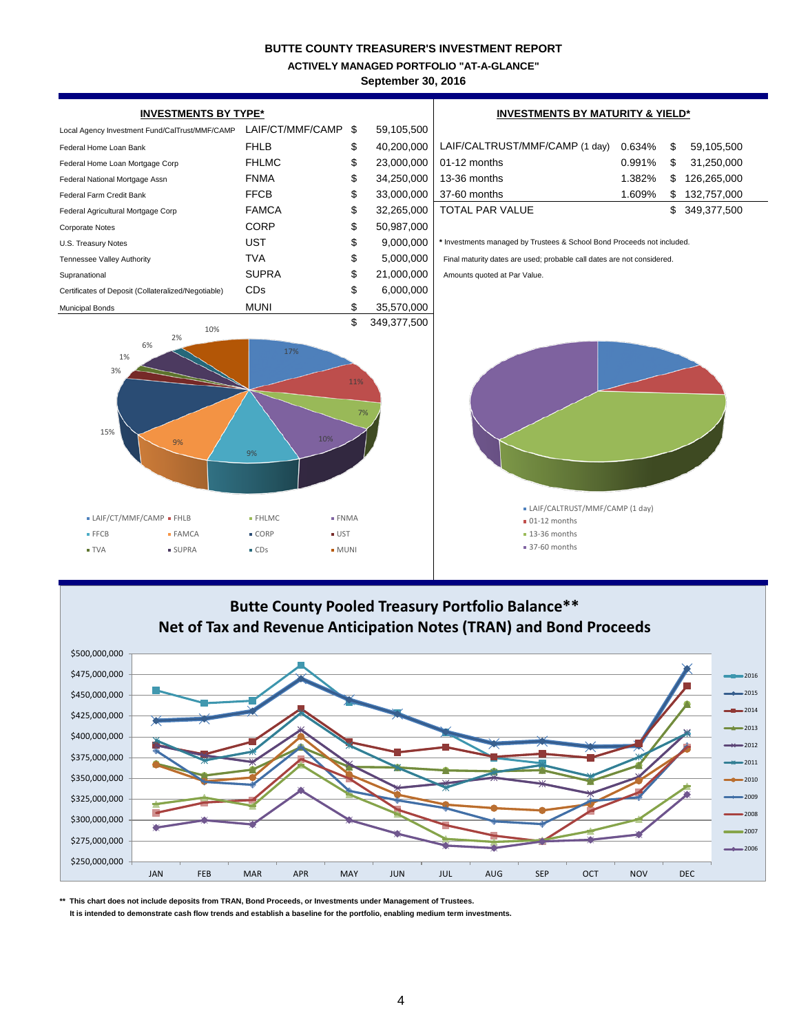**ACTIVELY MANAGED PORTFOLIO "AT-A-GLANCE"**

**September 30, 2016**





**\*\* This chart does not include deposits from TRAN, Bond Proceeds, or Investments under Management of Trustees.**

 **It is intended to demonstrate cash flow trends and establish a baseline for the portfolio, enabling medium term investments.**